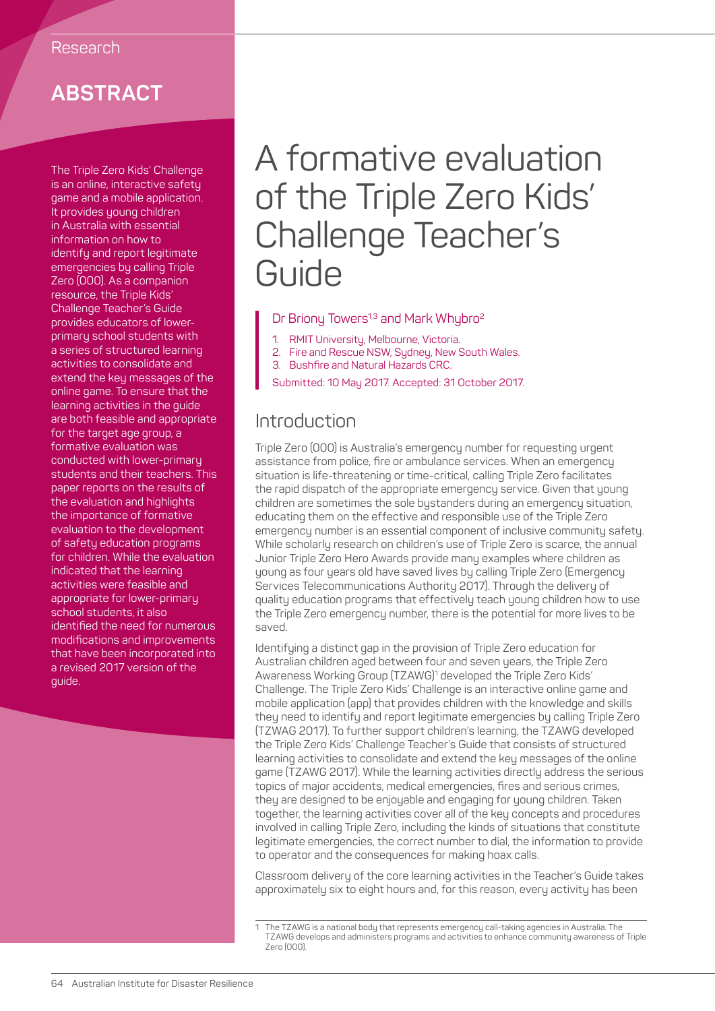# **ABSTRACT**

The Triple Zero Kids' Challenge is an online, interactive safety game and a mobile application. It provides young children in Australia with essential information on how to identify and report legitimate emergencies by calling Triple Zero (000). As a companion resource, the Triple Kids' Challenge Teacher's Guide provides educators of lowerprimary school students with a series of structured learning activities to consolidate and extend the key messages of the online game. To ensure that the learning activities in the guide are both feasible and appropriate for the target age group, a formative evaluation was conducted with lower-primary students and their teachers. This paper reports on the results of the evaluation and highlights the importance of formative evaluation to the development of safety education programs for children. While the evaluation indicated that the learning activities were feasible and appropriate for lower-primary school students, it also identified the need for numerous modifications and improvements that have been incorporated into a revised 2017 version of the guide.

# A formative evaluation of the Triple Zero Kids' Challenge Teacher's Guide

#### Dr Briony Towers<sup>1,3</sup> and Mark Whybro<sup>2</sup>

- 1. RMIT University, Melbourne, Victoria.
- 2. Fire and Rescue NSW, Sydney, New South Wales.
- 3. Bushfire and Natural Hazards CRC.
- Submitted: 10 May 2017. Accepted: 31 October 2017.

# **Introduction**

Triple Zero (000) is Australia's emergency number for requesting urgent assistance from police, fire or ambulance services. When an emergency situation is life-threatening or time-critical, calling Triple Zero facilitates the rapid dispatch of the appropriate emergency service. Given that young children are sometimes the sole bystanders during an emergency situation, educating them on the effective and responsible use of the Triple Zero emergency number is an essential component of inclusive community safety. While scholarly research on children's use of Triple Zero is scarce, the annual Junior Triple Zero Hero Awards provide many examples where children as young as four years old have saved lives by calling Triple Zero (Emergency Services Telecommunications Authority 2017). Through the delivery of quality education programs that effectively teach young children how to use the Triple Zero emergency number, there is the potential for more lives to be saved.

Identifying a distinct gap in the provision of Triple Zero education for Australian children aged between four and seven years, the Triple Zero Awareness Working Group (TZAWG)<sup>1</sup> developed the Triple Zero Kids' Challenge. The Triple Zero Kids' Challenge is an interactive online game and mobile application (app) that provides children with the knowledge and skills they need to identify and report legitimate emergencies by calling Triple Zero (TZWAG 2017). To further support children's learning, the TZAWG developed the Triple Zero Kids' Challenge Teacher's Guide that consists of structured learning activities to consolidate and extend the key messages of the online game (TZAWG 2017). While the learning activities directly address the serious topics of major accidents, medical emergencies, fires and serious crimes, they are designed to be enjoyable and engaging for young children. Taken together, the learning activities cover all of the key concepts and procedures involved in calling Triple Zero, including the kinds of situations that constitute legitimate emergencies, the correct number to dial, the information to provide to operator and the consequences for making hoax calls.

Classroom delivery of the core learning activities in the Teacher's Guide takes approximately six to eight hours and, for this reason, every activity has been

<sup>1</sup> The TZAWG is a national body that represents emergency call-taking agencies in Australia. The TZAWG develops and administers programs and activities to enhance community awareness of Triple Zero (000).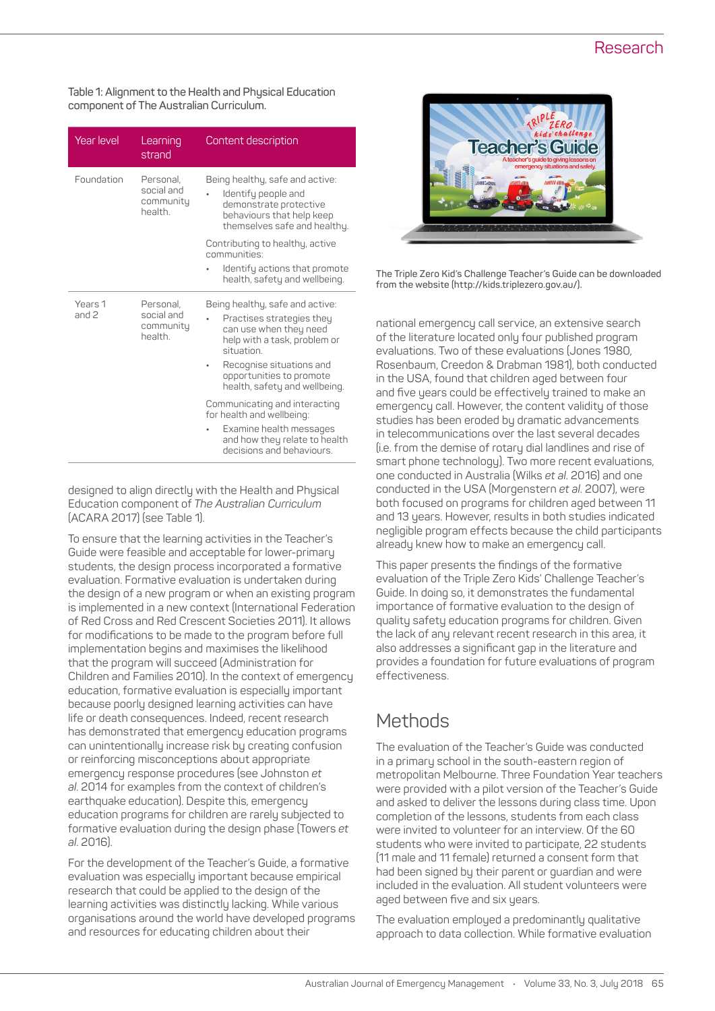### Research

**Table 1: Alignment to the Health and Physical Education component of The Australian Curriculum.**

| <b>Year level</b>  | Learning<br>strand                              | Content description                                                                                                                                                                                                           |
|--------------------|-------------------------------------------------|-------------------------------------------------------------------------------------------------------------------------------------------------------------------------------------------------------------------------------|
| Foundation         | Personal,<br>social and<br>community<br>health. | Being healthy, safe and active:<br>Identify people and<br>demonstrate protective<br>behaviours that help keep<br>themselves safe and healthy.                                                                                 |
|                    |                                                 | Contributing to healthy, active<br>communities:                                                                                                                                                                               |
|                    |                                                 | Identify actions that promote<br>health, safety and wellbeing.                                                                                                                                                                |
| Years 1<br>and $2$ | Personal,<br>social and<br>community<br>health. | Being healthy, safe and active:<br>Practises strategies they<br>can use when they need<br>help with a task, problem or<br>situation.<br>Recognise situations and<br>opportunities to promote<br>health, safety and wellbeing. |
|                    |                                                 | Communicating and interacting<br>for health and wellbeing:                                                                                                                                                                    |
|                    |                                                 | Examine health messages<br>and how they relate to health<br>decisions and behaviours.                                                                                                                                         |

designed to align directly with the Health and Physical Education component of *The Australian Curriculum* (ACARA 2017) (see Table 1).

To ensure that the learning activities in the Teacher's Guide were feasible and acceptable for lower-primary students, the design process incorporated a formative evaluation. Formative evaluation is undertaken during the design of a new program or when an existing program is implemented in a new context (International Federation of Red Cross and Red Crescent Societies 2011). It allows for modifications to be made to the program before full implementation begins and maximises the likelihood that the program will succeed (Administration for Children and Families 2010). In the context of emergency education, formative evaluation is especially important because poorly designed learning activities can have life or death consequences. Indeed, recent research has demonstrated that emergency education programs can unintentionally increase risk by creating confusion or reinforcing misconceptions about appropriate emergency response procedures (see Johnston *et al*. 2014 for examples from the context of children's earthquake education). Despite this, emergency education programs for children are rarely subjected to formative evaluation during the design phase (Towers *et al*. 2016).

For the development of the Teacher's Guide, a formative evaluation was especially important because empirical research that could be applied to the design of the learning activities was distinctly lacking. While various organisations around the world have developed programs and resources for educating children about their



**The Triple Zero Kid's Challenge Teacher's Guide can be downloaded from the website (http://kids.triplezero.gov.au/).**

national emergency call service, an extensive search of the literature located only four published program evaluations. Two of these evaluations (Jones 1980, Rosenbaum, Creedon & Drabman 1981), both conducted in the USA, found that children aged between four and five years could be effectively trained to make an emergency call. However, the content validity of those studies has been eroded by dramatic advancements in telecommunications over the last several decades (i.e. from the demise of rotary dial landlines and rise of smart phone technology). Two more recent evaluations, one conducted in Australia (Wilks *et al*. 2016) and one conducted in the USA (Morgenstern *et al*. 2007), were both focused on programs for children aged between 11 and 13 years. However, results in both studies indicated negligible program effects because the child participants already knew how to make an emergency call.

This paper presents the findings of the formative evaluation of the Triple Zero Kids' Challenge Teacher's Guide. In doing so, it demonstrates the fundamental importance of formative evaluation to the design of quality safety education programs for children. Given the lack of any relevant recent research in this area, it also addresses a significant gap in the literature and provides a foundation for future evaluations of program effectiveness.

# Methods

The evaluation of the Teacher's Guide was conducted in a primary school in the south-eastern region of metropolitan Melbourne. Three Foundation Year teachers were provided with a pilot version of the Teacher's Guide and asked to deliver the lessons during class time. Upon completion of the lessons, students from each class were invited to volunteer for an interview. Of the 60 students who were invited to participate, 22 students (11 male and 11 female) returned a consent form that had been signed by their parent or guardian and were included in the evaluation. All student volunteers were aged between five and six years.

The evaluation employed a predominantly qualitative approach to data collection. While formative evaluation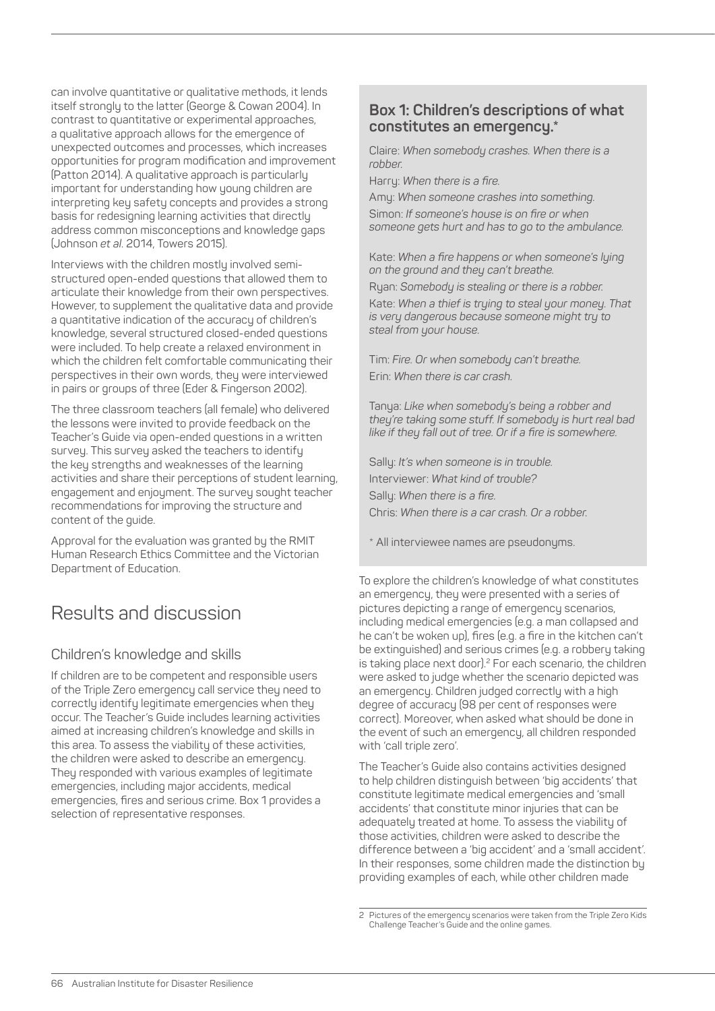can involve quantitative or qualitative methods, it lends itself strongly to the latter (George & Cowan 2004). In contrast to quantitative or experimental approaches, a qualitative approach allows for the emergence of unexpected outcomes and processes, which increases opportunities for program modification and improvement (Patton 2014). A qualitative approach is particularly important for understanding how young children are interpreting key safety concepts and provides a strong basis for redesigning learning activities that directly address common misconceptions and knowledge gaps (Johnson *et al*. 2014, Towers 2015).

Interviews with the children mostly involved semistructured open-ended questions that allowed them to articulate their knowledge from their own perspectives. However, to supplement the qualitative data and provide a quantitative indication of the accuracy of children's knowledge, several structured closed-ended questions were included. To help create a relaxed environment in which the children felt comfortable communicating their perspectives in their own words, they were interviewed in pairs or groups of three (Eder & Fingerson 2002).

The three classroom teachers (all female) who delivered the lessons were invited to provide feedback on the Teacher's Guide via open-ended questions in a written survey. This survey asked the teachers to identify the key strengths and weaknesses of the learning activities and share their perceptions of student learning, engagement and enjoyment. The survey sought teacher recommendations for improving the structure and content of the guide.

Approval for the evaluation was granted by the RMIT Human Research Ethics Committee and the Victorian Department of Education.

# Results and discussion

### Children's knowledge and skills

If children are to be competent and responsible users of the Triple Zero emergency call service they need to correctly identify legitimate emergencies when they occur. The Teacher's Guide includes learning activities aimed at increasing children's knowledge and skills in this area. To assess the viability of these activities, the children were asked to describe an emergency. They responded with various examples of legitimate emergencies, including major accidents, medical emergencies, fires and serious crime. Box 1 provides a selection of representative responses.

#### **Box 1: Children's descriptions of what constitutes an emergency.\***

Claire: *When somebody crashes. When there is a robber.*

Harry: *When there is a fire.*

Amy: *When someone crashes into something.* Simon: *If someone's house is on fire or when someone gets hurt and has to go to the ambulance.*

Kate: *When a fire happens or when someone's lying on the ground and they can't breathe.* Ryan: *Somebody is stealing or there is a robber.* Kate: *When a thief is trying to steal your money. That is very dangerous because someone might try to steal from your house.*

Tim: *Fire. Or when somebody can't breathe.* Erin: *When there is car crash.*

Tanya: *Like when somebody's being a robber and they're taking some stuff. If somebody is hurt real bad like if they fall out of tree. Or if a fire is somewhere.*

Sally: *It's when someone is in trouble.* Interviewer: *What kind of trouble?* Sally: *When there is a fire.* Chris: *When there is a car crash. Or a robber.*

\* All interviewee names are pseudonyms.

To explore the children's knowledge of what constitutes an emergency, they were presented with a series of pictures depicting a range of emergency scenarios, including medical emergencies (e.g. a man collapsed and he can't be woken up), fires (e.g. a fire in the kitchen can't be extinguished) and serious crimes (e.g. a robbery taking is taking place next door).<sup>2</sup> For each scenario, the children were asked to judge whether the scenario depicted was an emergency. Children judged correctly with a high degree of accuracy (98 per cent of responses were correct). Moreover, when asked what should be done in the event of such an emergency, all children responded with 'call triple zero'.

The Teacher's Guide also contains activities designed to help children distinguish between 'big accidents' that constitute legitimate medical emergencies and 'small accidents' that constitute minor injuries that can be adequately treated at home. To assess the viability of those activities, children were asked to describe the difference between a 'big accident' and a 'small accident'. In their responses, some children made the distinction by providing examples of each, while other children made

<sup>2</sup> Pictures of the emergency scenarios were taken from the Triple Zero Kids Challenge Teacher's Guide and the online games.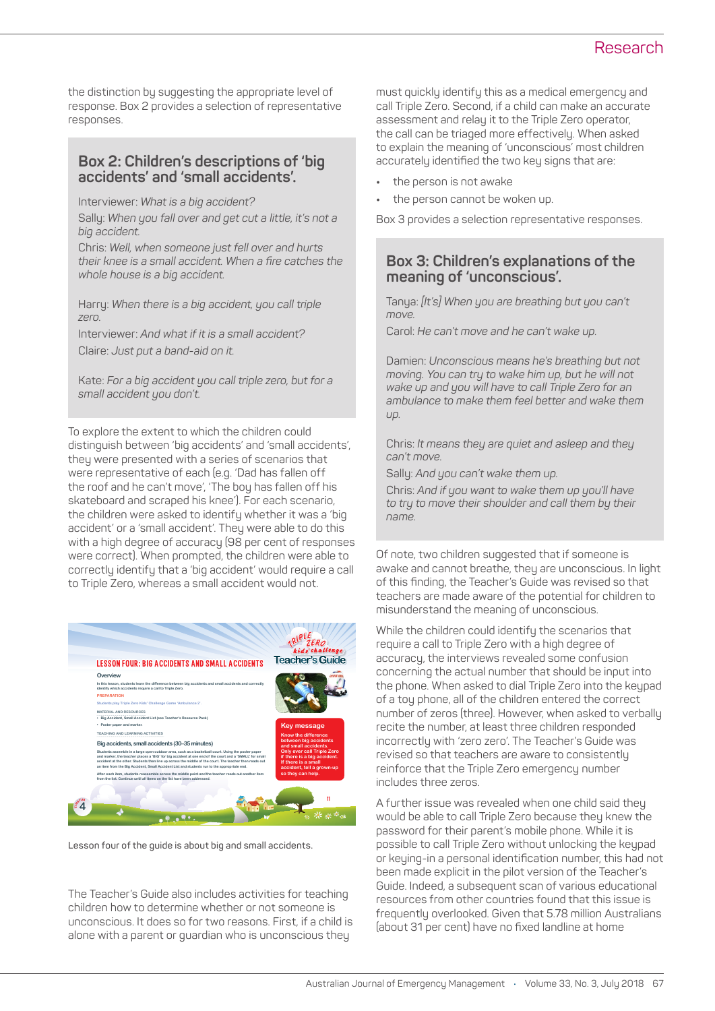the distinction by suggesting the appropriate level of response. Box 2 provides a selection of representative responses.

#### **Box 2: Children's descriptions of 'big accidents' and 'small accidents'.**

Interviewer: *What is a big accident?*

Sally: *When you fall over and get cut a little, it's not a big accident.* 

Chris: *Well, when someone just fell over and hurts their knee is a small accident. When a fire catches the whole house is a big accident.*

Harry: *When there is a big accident, you call triple zero.*

Interviewer: *And what if it is a small accident?* Claire: *Just put a band-aid on it.*

Kate: *For a big accident you call triple zero, but for a small accident you don't.*

To explore the extent to which the children could distinguish between 'big accidents' and 'small accidents', they were presented with a series of scenarios that were representative of each (e.g. 'Dad has fallen off the roof and he can't move', 'The boy has fallen off his skateboard and scraped his knee'). For each scenario, the children were asked to identify whether it was a 'big accident' or a 'small accident'. They were able to do this with a high degree of accuracy (98 per cent of responses were correct). When prompted, the children were able to correctly identify that a 'big accident' would require a call to Triple Zero, whereas a small accident would not.



**Lesson four of the guide is about big and small accidents.**

The Teacher's Guide also includes activities for teaching children how to determine whether or not someone is unconscious. It does so for two reasons. First, if a child is alone with a parent or guardian who is unconscious they

must quickly identify this as a medical emergency and call Triple Zero. Second, if a child can make an accurate assessment and relay it to the Triple Zero operator, the call can be triaged more effectively. When asked to explain the meaning of 'unconscious' most children accurately identified the two key signs that are:

- **•** the person is not awake
- **•** the person cannot be woken up.

Box 3 provides a selection representative responses.

#### **Box 3: Children's explanations of the meaning of 'unconscious'.**

Tanya: *[It's] When you are breathing but you can't move.*

Carol: *He can't move and he can't wake up.*

Damien: *Unconscious means he's breathing but not moving. You can try to wake him up, but he will not wake up and you will have to call Triple Zero for an ambulance to make them feel better and wake them up.*

Chris: *It means they are quiet and asleep and they can't move.*

Sally: *And you can't wake them up.*

Chris: *And if you want to wake them up you'll have to try to move their shoulder and call them by their name.* 

Of note, two children suggested that if someone is awake and cannot breathe, they are unconscious. In light of this finding, the Teacher's Guide was revised so that teachers are made aware of the potential for children to misunderstand the meaning of unconscious.

While the children could identify the scenarios that require a call to Triple Zero with a high degree of accuracy, the interviews revealed some confusion concerning the actual number that should be input into the phone. When asked to dial Triple Zero into the keypad of a toy phone, all of the children entered the correct number of zeros (three). However, when asked to verbally recite the number, at least three children responded incorrectly with 'zero zero'. The Teacher's Guide was revised so that teachers are aware to consistently reinforce that the Triple Zero emergency number includes three zeros.

A further issue was revealed when one child said they would be able to call Triple Zero because they knew the password for their parent's mobile phone. While it is possible to call Triple Zero without unlocking the keypad or keying-in a personal identification number, this had not been made explicit in the pilot version of the Teacher's Guide. Indeed, a subsequent scan of various educational resources from other countries found that this issue is frequently overlooked. Given that 5.78 million Australians (about 31 per cent) have no fixed landline at home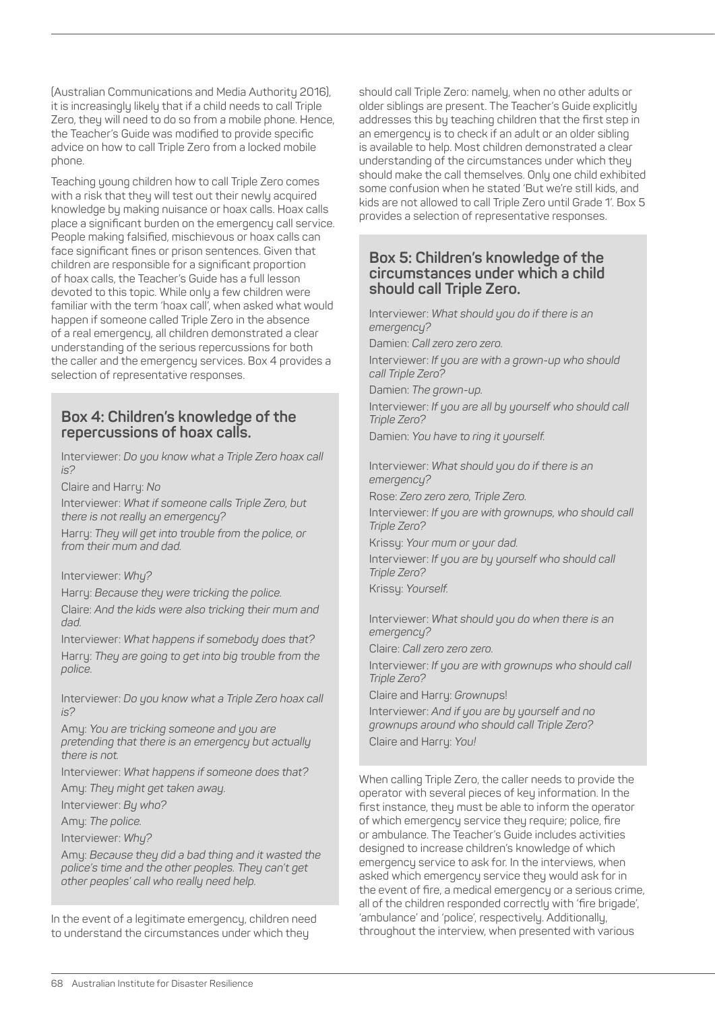(Australian Communications and Media Authority 2016), it is increasingly likely that if a child needs to call Triple Zero, they will need to do so from a mobile phone. Hence, the Teacher's Guide was modified to provide specific advice on how to call Triple Zero from a locked mobile phone.

Teaching young children how to call Triple Zero comes with a risk that they will test out their newly acquired knowledge by making nuisance or hoax calls. Hoax calls place a significant burden on the emergency call service. People making falsified, mischievous or hoax calls can face significant fines or prison sentences. Given that children are responsible for a significant proportion of hoax calls, the Teacher's Guide has a full lesson devoted to this topic. While only a few children were familiar with the term 'hoax call', when asked what would happen if someone called Triple Zero in the absence of a real emergency, all children demonstrated a clear understanding of the serious repercussions for both the caller and the emergency services. Box 4 provides a selection of representative responses.

#### **Box 4: Children's knowledge of the repercussions of hoax calls.**

Interviewer: *Do you know what a Triple Zero hoax call is?*

Claire and Harry: *No*

Interviewer: *What if someone calls Triple Zero, but there is not really an emergency?*

Harry: *They will get into trouble from the police, or from their mum and dad.*

#### Interviewer: *Why?*

Harry: *Because they were tricking the police.*

Claire: *And the kids were also tricking their mum and dad.*

Interviewer: *What happens if somebody does that?* Harry: *They are going to get into big trouble from the police.*

Interviewer: *Do you know what a Triple Zero hoax call is?*

Amy: *You are tricking someone and you are pretending that there is an emergency but actually there is not.*

Interviewer: *What happens if someone does that?* Amy: *They might get taken away.*

Interviewer: *By who?*

Amy: *The police.*

Interviewer: *Why?*

Amy: *Because they did a bad thing and it wasted the police's time and the other peoples. They can't get other peoples' call who really need help.*

In the event of a legitimate emergency, children need to understand the circumstances under which they

should call Triple Zero: namely, when no other adults or older siblings are present. The Teacher's Guide explicitly addresses this by teaching children that the first step in an emergency is to check if an adult or an older sibling is available to help. Most children demonstrated a clear understanding of the circumstances under which they should make the call themselves. Only one child exhibited some confusion when he stated 'But we're still kids, and kids are not allowed to call Triple Zero until Grade 1'. Box 5 provides a selection of representative responses.

#### **Box 5: Children's knowledge of the circumstances under which a child should call Triple Zero.**

Interviewer: *What should you do if there is an emergency?*

Damien: *Call zero zero zero.*

Interviewer: *If you are with a grown-up who should call Triple Zero?*

Damien: *The grown-up.*

Interviewer: *If you are all by yourself who should call Triple Zero?*

Damien: *You have to ring it yourself.*

Interviewer: *What should you do if there is an emergency?*

Rose: *Zero zero zero, Triple Zero.*

Interviewer: *If you are with grownups, who should call Triple Zero?*

Krissy: *Your mum or your dad.*

Interviewer: *If you are by yourself who should call Triple Zero?*

Krissy: *Yourself.*

Interviewer: *What should you do when there is an emergency?*

Claire: *Call zero zero zero.*

Interviewer: *If you are with grownups who should call Triple Zero?*

Claire and Harry: *Grownup*s!

Interviewer: *And if you are by yourself and no grownups around who should call Triple Zero?* Claire and Harry: *You!*

When calling Triple Zero, the caller needs to provide the operator with several pieces of key information. In the first instance, they must be able to inform the operator of which emergency service they require; police, fire or ambulance. The Teacher's Guide includes activities designed to increase children's knowledge of which emergency service to ask for. In the interviews, when asked which emergency service they would ask for in the event of fire, a medical emergency or a serious crime, all of the children responded correctly with 'fire brigade', 'ambulance' and 'police', respectively. Additionally, throughout the interview, when presented with various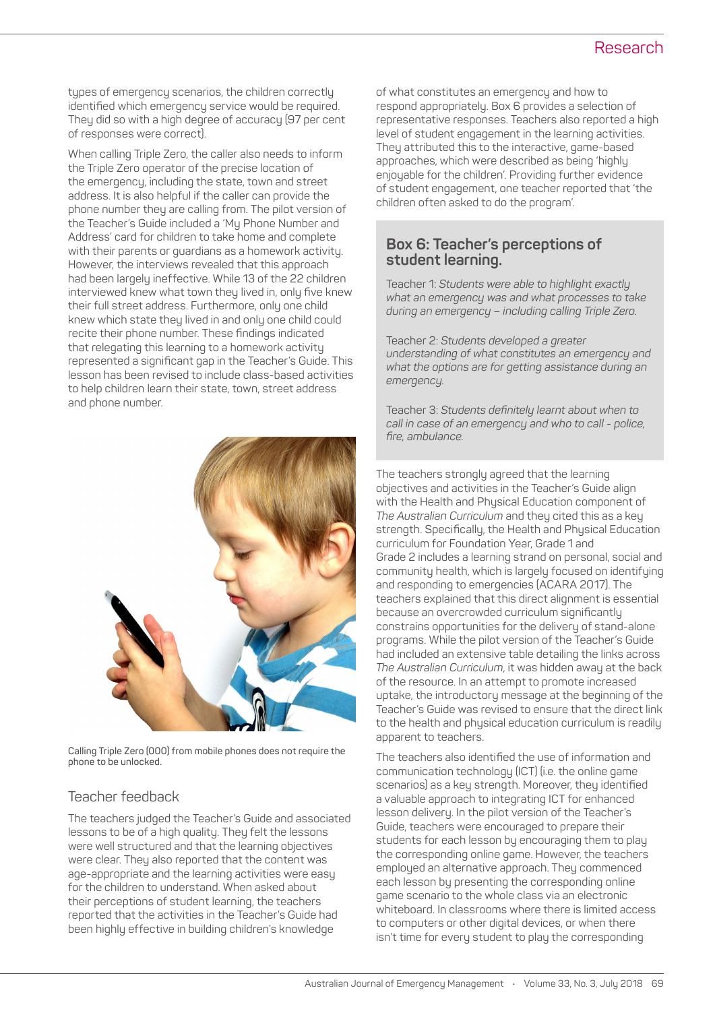types of emergency scenarios, the children correctly identified which emergency service would be required. They did so with a high degree of accuracy (97 per cent of responses were correct).

When calling Triple Zero, the caller also needs to inform the Triple Zero operator of the precise location of the emergency, including the state, town and street address. It is also helpful if the caller can provide the phone number they are calling from. The pilot version of the Teacher's Guide included a 'My Phone Number and Address' card for children to take home and complete with their parents or guardians as a homework activity. However, the interviews revealed that this approach had been largely ineffective. While 13 of the 22 children interviewed knew what town they lived in, only five knew their full street address. Furthermore, only one child knew which state they lived in and only one child could recite their phone number. These findings indicated that relegating this learning to a homework activity represented a significant gap in the Teacher's Guide. This lesson has been revised to include class-based activities to help children learn their state, town, street address and phone number.



**Calling Triple Zero (000) from mobile phones does not require the phone to be unlocked.**

### Teacher feedback

The teachers judged the Teacher's Guide and associated lessons to be of a high quality. They felt the lessons were well structured and that the learning objectives were clear. They also reported that the content was age-appropriate and the learning activities were easy for the children to understand. When asked about their perceptions of student learning, the teachers reported that the activities in the Teacher's Guide had been highly effective in building children's knowledge

of what constitutes an emergency and how to respond appropriately. Box 6 provides a selection of representative responses. Teachers also reported a high level of student engagement in the learning activities. They attributed this to the interactive, game-based approaches, which were described as being 'highly enjoyable for the children'. Providing further evidence of student engagement, one teacher reported that 'the children often asked to do the program'.

### **Box 6: Teacher's perceptions of student learning.**

Teacher 1: *Students were able to highlight exactly what an emergency was and what processes to take during an emergency – including calling Triple Zero.*

Teacher 2: *Students developed a greater understanding of what constitutes an emergency and what the options are for getting assistance during an emergency.*

Teacher 3: *Students definitely learnt about when to call in case of an emergency and who to call - police, fire, ambulance.* 

The teachers strongly agreed that the learning objectives and activities in the Teacher's Guide align with the Health and Physical Education component of *The Australian Curriculum* and they cited this as a key strength. Specifically, the Health and Physical Education curriculum for Foundation Year, Grade 1 and Grade 2 includes a learning strand on personal, social and community health, which is largely focused on identifying and responding to emergencies (ACARA 2017). The teachers explained that this direct alignment is essential because an overcrowded curriculum significantly constrains opportunities for the delivery of stand-alone programs. While the pilot version of the Teacher's Guide had included an extensive table detailing the links across *The Australian Curriculum*, it was hidden away at the back of the resource. In an attempt to promote increased uptake, the introductory message at the beginning of the Teacher's Guide was revised to ensure that the direct link to the health and physical education curriculum is readily apparent to teachers.

The teachers also identified the use of information and communication technology (ICT) (i.e. the online game scenarios) as a key strength. Moreover, they identified a valuable approach to integrating ICT for enhanced lesson delivery. In the pilot version of the Teacher's Guide, teachers were encouraged to prepare their students for each lesson by encouraging them to play the corresponding online game. However, the teachers employed an alternative approach. They commenced each lesson by presenting the corresponding online game scenario to the whole class via an electronic whiteboard. In classrooms where there is limited access to computers or other digital devices, or when there isn't time for every student to play the corresponding